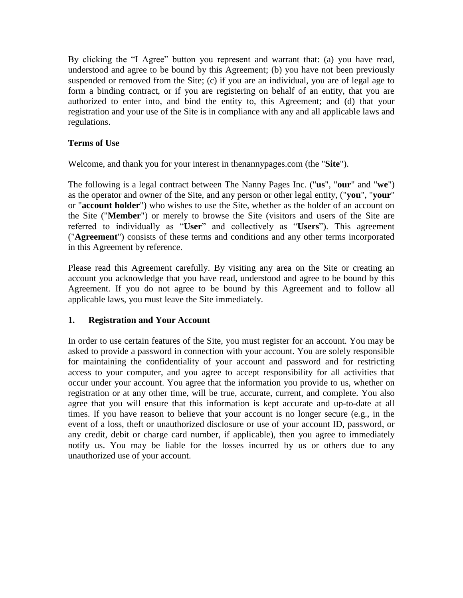By clicking the "I Agree" button you represent and warrant that: (a) you have read, understood and agree to be bound by this Agreement; (b) you have not been previously suspended or removed from the Site; (c) if you are an individual, you are of legal age to form a binding contract, or if you are registering on behalf of an entity, that you are authorized to enter into, and bind the entity to, this Agreement; and (d) that your registration and your use of the Site is in compliance with any and all applicable laws and regulations.

### **Terms of Use**

Welcome, and thank you for your interest in thenannypages.com (the "**Site**").

The following is a legal contract between The Nanny Pages Inc. ("**us**", "**our**" and "**we**") as the operator and owner of the Site, and any person or other legal entity, ("**you**", "**your**" or "**account holder**") who wishes to use the Site, whether as the holder of an account on the Site ("**Member**") or merely to browse the Site (visitors and users of the Site are referred to individually as "**User**" and collectively as "**Users**"). This agreement ("**Agreement**") consists of these terms and conditions and any other terms incorporated in this Agreement by reference.

Please read this Agreement carefully. By visiting any area on the Site or creating an account you acknowledge that you have read, understood and agree to be bound by this Agreement. If you do not agree to be bound by this Agreement and to follow all applicable laws, you must leave the Site immediately.

# **1. Registration and Your Account**

In order to use certain features of the Site, you must register for an account. You may be asked to provide a password in connection with your account. You are solely responsible for maintaining the confidentiality of your account and password and for restricting access to your computer, and you agree to accept responsibility for all activities that occur under your account. You agree that the information you provide to us, whether on registration or at any other time, will be true, accurate, current, and complete. You also agree that you will ensure that this information is kept accurate and up-to-date at all times. If you have reason to believe that your account is no longer secure (e.g., in the event of a loss, theft or unauthorized disclosure or use of your account ID, password, or any credit, debit or charge card number, if applicable), then you agree to immediately notify us. You may be liable for the losses incurred by us or others due to any unauthorized use of your account.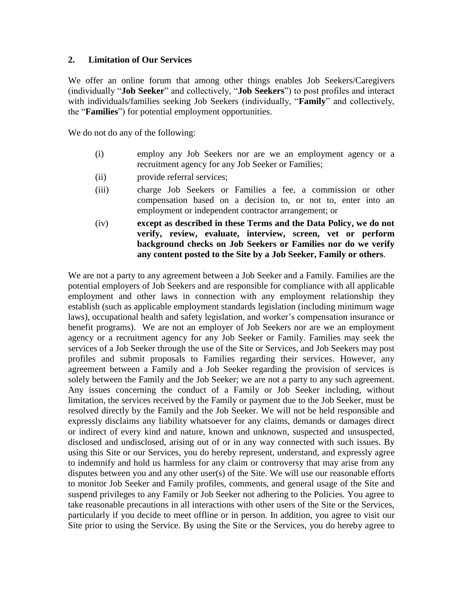#### **2. Limitation of Our Services**

We offer an online forum that among other things enables Job Seekers/Caregivers (individually "**Job Seeker**" and collectively, "**Job Seekers**") to post profiles and interact with individuals/families seeking Job Seekers (individually, "**Family**" and collectively, the "**Families**") for potential employment opportunities.

We do not do any of the following:

- (i) employ any Job Seekers nor are we an employment agency or a recruitment agency for any Job Seeker or Families;
- (ii) provide referral services;
- (iii) charge Job Seekers or Families a fee, a commission or other compensation based on a decision to, or not to, enter into an employment or independent contractor arrangement; or
- (iv) **except as described in these Terms and the Data Policy, we do not verify, review, evaluate, interview, screen, vet or perform background checks on Job Seekers or Families nor do we verify any content posted to the Site by a Job Seeker, Family or others**.

We are not a party to any agreement between a Job Seeker and a Family. Families are the potential employers of Job Seekers and are responsible for compliance with all applicable employment and other laws in connection with any employment relationship they establish (such as applicable employment standards legislation (including minimum wage laws), occupational health and safety legislation, and worker's compensation insurance or benefit programs). We are not an employer of Job Seekers nor are we an employment agency or a recruitment agency for any Job Seeker or Family. Families may seek the services of a Job Seeker through the use of the Site or Services, and Job Seekers may post profiles and submit proposals to Families regarding their services. However, any agreement between a Family and a Job Seeker regarding the provision of services is solely between the Family and the Job Seeker; we are not a party to any such agreement. Any issues concerning the conduct of a Family or Job Seeker including, without limitation, the services received by the Family or payment due to the Job Seeker, must be resolved directly by the Family and the Job Seeker. We will not be held responsible and expressly disclaims any liability whatsoever for any claims, demands or damages direct or indirect of every kind and nature, known and unknown, suspected and unsuspected, disclosed and undisclosed, arising out of or in any way connected with such issues. By using this Site or our Services, you do hereby represent, understand, and expressly agree to indemnify and hold us harmless for any claim or controversy that may arise from any disputes between you and any other user(s) of the Site. We will use our reasonable efforts to monitor Job Seeker and Family profiles, comments, and general usage of the Site and suspend privileges to any Family or Job Seeker not adhering to the Policies. You agree to take reasonable precautions in all interactions with other users of the Site or the Services, particularly if you decide to meet offline or in person. In addition, you agree to visit our Site prior to using the Service. By using the Site or the Services, you do hereby agree to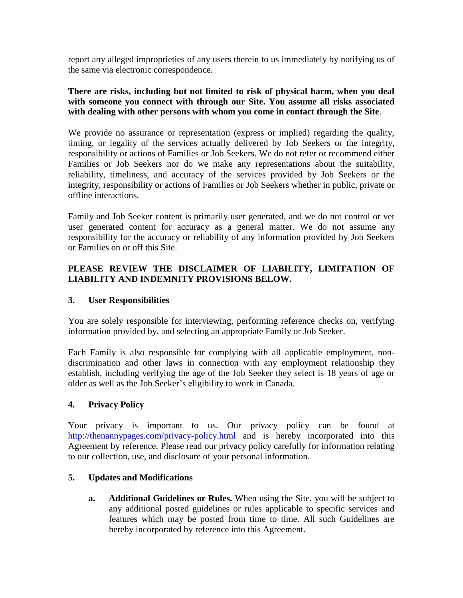report any alleged improprieties of any users therein to us immediately by notifying us of the same via electronic correspondence.

#### **There are risks, including but not limited to risk of physical harm, when you deal with someone you connect with through our Site. You assume all risks associated with dealing with other persons with whom you come in contact through the Site**.

We provide no assurance or representation (express or implied) regarding the quality, timing, or legality of the services actually delivered by Job Seekers or the integrity, responsibility or actions of Families or Job Seekers. We do not refer or recommend either Families or Job Seekers nor do we make any representations about the suitability, reliability, timeliness, and accuracy of the services provided by Job Seekers or the integrity, responsibility or actions of Families or Job Seekers whether in public, private or offline interactions.

Family and Job Seeker content is primarily user generated, and we do not control or vet user generated content for accuracy as a general matter. We do not assume any responsibility for the accuracy or reliability of any information provided by Job Seekers or Families on or off this Site.

## **PLEASE REVIEW THE DISCLAIMER OF LIABILITY, LIMITATION OF LIABILITY AND INDEMNITY PROVISIONS BELOW.**

### **3. User Responsibilities**

You are solely responsible for interviewing, performing reference checks on, verifying information provided by, and selecting an appropriate Family or Job Seeker.

Each Family is also responsible for complying with all applicable employment, nondiscrimination and other laws in connection with any employment relationship they establish, including verifying the age of the Job Seeker they select is 18 years of age or older as well as the Job Seeker's eligibility to work in Canada.

### **4. Privacy Policy**

Your privacy is important to us. Our privacy policy can be found at <http://thenannypages.com/privacy-policy.html> and is hereby incorporated into this Agreement by reference. Please read our privacy policy carefully for information relating to our collection, use, and disclosure of your personal information.

### **5. Updates and Modifications**

**a. Additional Guidelines or Rules.** When using the Site, you will be subject to any additional posted guidelines or rules applicable to specific services and features which may be posted from time to time. All such Guidelines are hereby incorporated by reference into this Agreement.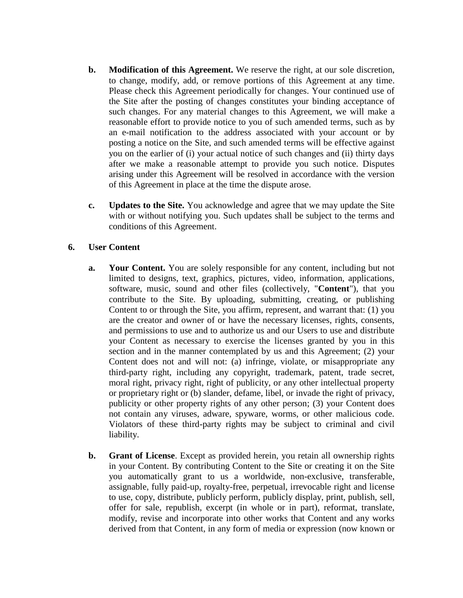- **b. Modification of this Agreement.** We reserve the right, at our sole discretion, to change, modify, add, or remove portions of this Agreement at any time. Please check this Agreement periodically for changes. Your continued use of the Site after the posting of changes constitutes your binding acceptance of such changes. For any material changes to this Agreement, we will make a reasonable effort to provide notice to you of such amended terms, such as by an e-mail notification to the address associated with your account or by posting a notice on the Site, and such amended terms will be effective against you on the earlier of (i) your actual notice of such changes and (ii) thirty days after we make a reasonable attempt to provide you such notice. Disputes arising under this Agreement will be resolved in accordance with the version of this Agreement in place at the time the dispute arose.
- **c. Updates to the Site.** You acknowledge and agree that we may update the Site with or without notifying you. Such updates shall be subject to the terms and conditions of this Agreement.

### **6. User Content**

- **a. Your Content.** You are solely responsible for any content, including but not limited to designs, text, graphics, pictures, video, information, applications, software, music, sound and other files (collectively, "**Content**"), that you contribute to the Site. By uploading, submitting, creating, or publishing Content to or through the Site, you affirm, represent, and warrant that: (1) you are the creator and owner of or have the necessary licenses, rights, consents, and permissions to use and to authorize us and our Users to use and distribute your Content as necessary to exercise the licenses granted by you in this section and in the manner contemplated by us and this Agreement; (2) your Content does not and will not: (a) infringe, violate, or misappropriate any third-party right, including any copyright, trademark, patent, trade secret, moral right, privacy right, right of publicity, or any other intellectual property or proprietary right or (b) slander, defame, libel, or invade the right of privacy, publicity or other property rights of any other person; (3) your Content does not contain any viruses, adware, spyware, worms, or other malicious code. Violators of these third-party rights may be subject to criminal and civil liability.
- **b. Grant of License**. Except as provided herein, you retain all ownership rights in your Content. By contributing Content to the Site or creating it on the Site you automatically grant to us a worldwide, non-exclusive, transferable, assignable, fully paid-up, royalty-free, perpetual, irrevocable right and license to use, copy, distribute, publicly perform, publicly display, print, publish, sell, offer for sale, republish, excerpt (in whole or in part), reformat, translate, modify, revise and incorporate into other works that Content and any works derived from that Content, in any form of media or expression (now known or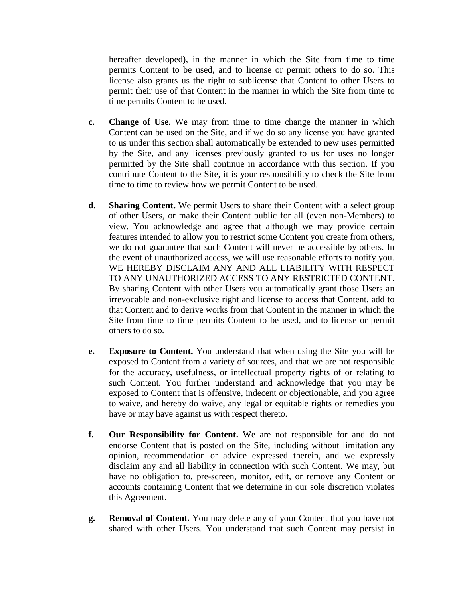hereafter developed), in the manner in which the Site from time to time permits Content to be used, and to license or permit others to do so. This license also grants us the right to sublicense that Content to other Users to permit their use of that Content in the manner in which the Site from time to time permits Content to be used.

- **c. Change of Use.** We may from time to time change the manner in which Content can be used on the Site, and if we do so any license you have granted to us under this section shall automatically be extended to new uses permitted by the Site, and any licenses previously granted to us for uses no longer permitted by the Site shall continue in accordance with this section. If you contribute Content to the Site, it is your responsibility to check the Site from time to time to review how we permit Content to be used.
- **d. Sharing Content.** We permit Users to share their Content with a select group of other Users, or make their Content public for all (even non-Members) to view. You acknowledge and agree that although we may provide certain features intended to allow you to restrict some Content you create from others, we do not guarantee that such Content will never be accessible by others. In the event of unauthorized access, we will use reasonable efforts to notify you. WE HEREBY DISCLAIM ANY AND ALL LIABILITY WITH RESPECT TO ANY UNAUTHORIZED ACCESS TO ANY RESTRICTED CONTENT. By sharing Content with other Users you automatically grant those Users an irrevocable and non-exclusive right and license to access that Content, add to that Content and to derive works from that Content in the manner in which the Site from time to time permits Content to be used, and to license or permit others to do so.
- **e. Exposure to Content.** You understand that when using the Site you will be exposed to Content from a variety of sources, and that we are not responsible for the accuracy, usefulness, or intellectual property rights of or relating to such Content. You further understand and acknowledge that you may be exposed to Content that is offensive, indecent or objectionable, and you agree to waive, and hereby do waive, any legal or equitable rights or remedies you have or may have against us with respect thereto.
- **f. Our Responsibility for Content.** We are not responsible for and do not endorse Content that is posted on the Site, including without limitation any opinion, recommendation or advice expressed therein, and we expressly disclaim any and all liability in connection with such Content. We may, but have no obligation to, pre-screen, monitor, edit, or remove any Content or accounts containing Content that we determine in our sole discretion violates this Agreement.
- **g. Removal of Content.** You may delete any of your Content that you have not shared with other Users. You understand that such Content may persist in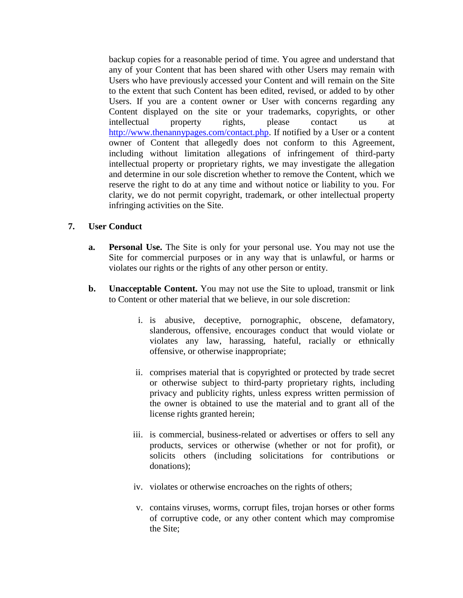backup copies for a reasonable period of time. You agree and understand that any of your Content that has been shared with other Users may remain with Users who have previously accessed your Content and will remain on the Site to the extent that such Content has been edited, revised, or added to by other Users. If you are a content owner or User with concerns regarding any Content displayed on the site or your trademarks, copyrights, or other intellectual property rights, please contact us at [http://www.thenannypages.com/contact.php.](http://www.thenannypages.com/contact.php) If notified by a User or a content owner of Content that allegedly does not conform to this Agreement, including without limitation allegations of infringement of third-party intellectual property or proprietary rights, we may investigate the allegation and determine in our sole discretion whether to remove the Content, which we reserve the right to do at any time and without notice or liability to you. For clarity, we do not permit copyright, trademark, or other intellectual property infringing activities on the Site.

#### **7. User Conduct**

- **a. Personal Use.** The Site is only for your personal use. You may not use the Site for commercial purposes or in any way that is unlawful, or harms or violates our rights or the rights of any other person or entity.
- **b. Unacceptable Content.** You may not use the Site to upload, transmit or link to Content or other material that we believe, in our sole discretion:
	- i. is abusive, deceptive, pornographic, obscene, defamatory, slanderous, offensive, encourages conduct that would violate or violates any law, harassing, hateful, racially or ethnically offensive, or otherwise inappropriate;
	- ii. comprises material that is copyrighted or protected by trade secret or otherwise subject to third-party proprietary rights, including privacy and publicity rights, unless express written permission of the owner is obtained to use the material and to grant all of the license rights granted herein;
	- iii. is commercial, business-related or advertises or offers to sell any products, services or otherwise (whether or not for profit), or solicits others (including solicitations for contributions or donations);
	- iv. violates or otherwise encroaches on the rights of others;
	- v. contains viruses, worms, corrupt files, trojan horses or other forms of corruptive code, or any other content which may compromise the Site;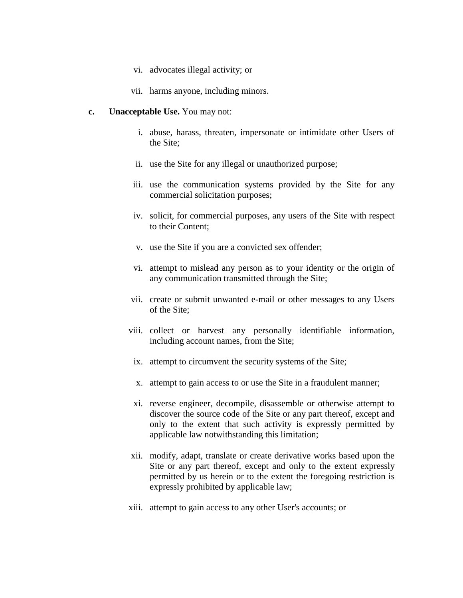- vi. advocates illegal activity; or
- vii. harms anyone, including minors.

#### **c. Unacceptable Use.** You may not:

- i. abuse, harass, threaten, impersonate or intimidate other Users of the Site;
- ii. use the Site for any illegal or unauthorized purpose;
- iii. use the communication systems provided by the Site for any commercial solicitation purposes;
- iv. solicit, for commercial purposes, any users of the Site with respect to their Content;
- v. use the Site if you are a convicted sex offender;
- vi. attempt to mislead any person as to your identity or the origin of any communication transmitted through the Site;
- vii. create or submit unwanted e-mail or other messages to any Users of the Site;
- viii. collect or harvest any personally identifiable information, including account names, from the Site;
	- ix. attempt to circumvent the security systems of the Site;
	- x. attempt to gain access to or use the Site in a fraudulent manner;
	- xi. reverse engineer, decompile, disassemble or otherwise attempt to discover the source code of the Site or any part thereof, except and only to the extent that such activity is expressly permitted by applicable law notwithstanding this limitation;
- xii. modify, adapt, translate or create derivative works based upon the Site or any part thereof, except and only to the extent expressly permitted by us herein or to the extent the foregoing restriction is expressly prohibited by applicable law;
- xiii. attempt to gain access to any other User's accounts; or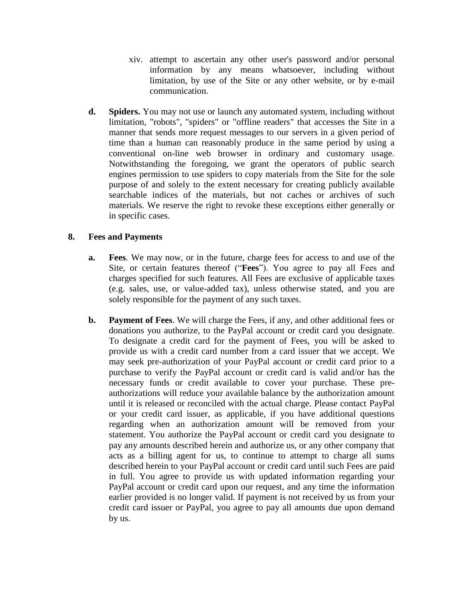- xiv. attempt to ascertain any other user's password and/or personal information by any means whatsoever, including without limitation, by use of the Site or any other website, or by e-mail communication.
- **d. Spiders.** You may not use or launch any automated system, including without limitation, "robots", "spiders" or "offline readers" that accesses the Site in a manner that sends more request messages to our servers in a given period of time than a human can reasonably produce in the same period by using a conventional on-line web browser in ordinary and customary usage. Notwithstanding the foregoing, we grant the operators of public search engines permission to use spiders to copy materials from the Site for the sole purpose of and solely to the extent necessary for creating publicly available searchable indices of the materials, but not caches or archives of such materials. We reserve the right to revoke these exceptions either generally or in specific cases.

### **8. Fees and Payments**

- **a. Fees**. We may now, or in the future, charge fees for access to and use of the Site, or certain features thereof ("**Fees**"). You agree to pay all Fees and charges specified for such features. All Fees are exclusive of applicable taxes (e.g. sales, use, or value-added tax), unless otherwise stated, and you are solely responsible for the payment of any such taxes.
- **b. Payment of Fees**. We will charge the Fees, if any, and other additional fees or donations you authorize, to the PayPal account or credit card you designate. To designate a credit card for the payment of Fees, you will be asked to provide us with a credit card number from a card issuer that we accept. We may seek pre-authorization of your PayPal account or credit card prior to a purchase to verify the PayPal account or credit card is valid and/or has the necessary funds or credit available to cover your purchase. These preauthorizations will reduce your available balance by the authorization amount until it is released or reconciled with the actual charge. Please contact PayPal or your credit card issuer, as applicable, if you have additional questions regarding when an authorization amount will be removed from your statement. You authorize the PayPal account or credit card you designate to pay any amounts described herein and authorize us, or any other company that acts as a billing agent for us, to continue to attempt to charge all sums described herein to your PayPal account or credit card until such Fees are paid in full. You agree to provide us with updated information regarding your PayPal account or credit card upon our request, and any time the information earlier provided is no longer valid. If payment is not received by us from your credit card issuer or PayPal, you agree to pay all amounts due upon demand by us.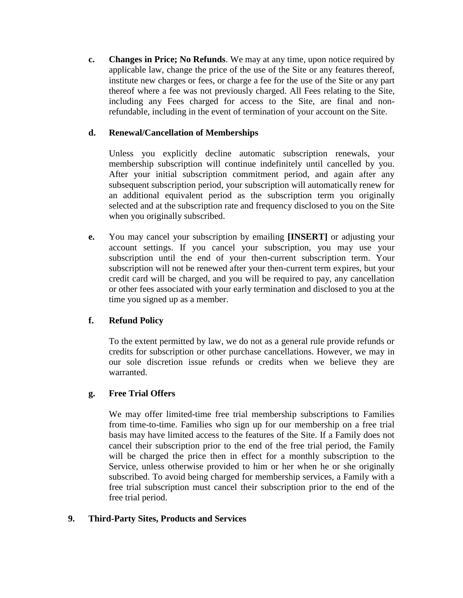**c. Changes in Price; No Refunds**. We may at any time, upon notice required by applicable law, change the price of the use of the Site or any features thereof, institute new charges or fees, or charge a fee for the use of the Site or any part thereof where a fee was not previously charged. All Fees relating to the Site, including any Fees charged for access to the Site, are final and nonrefundable, including in the event of termination of your account on the Site.

### **d. Renewal/Cancellation of Memberships**

Unless you explicitly decline automatic subscription renewals, your membership subscription will continue indefinitely until cancelled by you. After your initial subscription commitment period, and again after any subsequent subscription period, your subscription will automatically renew for an additional equivalent period as the subscription term you originally selected and at the subscription rate and frequency disclosed to you on the Site when you originally subscribed.

**e.** You may cancel your subscription by emailing **[INSERT]** or adjusting your account settings. If you cancel your subscription, you may use your subscription until the end of your then-current subscription term. Your subscription will not be renewed after your then-current term expires, but your credit card will be charged, and you will be required to pay, any cancellation or other fees associated with your early termination and disclosed to you at the time you signed up as a member.

# **f. Refund Policy**

To the extent permitted by law, we do not as a general rule provide refunds or credits for subscription or other purchase cancellations. However, we may in our sole discretion issue refunds or credits when we believe they are warranted.

### **g. Free Trial Offers**

We may offer limited-time free trial membership subscriptions to Families from time-to-time. Families who sign up for our membership on a free trial basis may have limited access to the features of the Site. If a Family does not cancel their subscription prior to the end of the free trial period, the Family will be charged the price then in effect for a monthly subscription to the Service, unless otherwise provided to him or her when he or she originally subscribed. To avoid being charged for membership services, a Family with a free trial subscription must cancel their subscription prior to the end of the free trial period.

### **9. Third-Party Sites, Products and Services**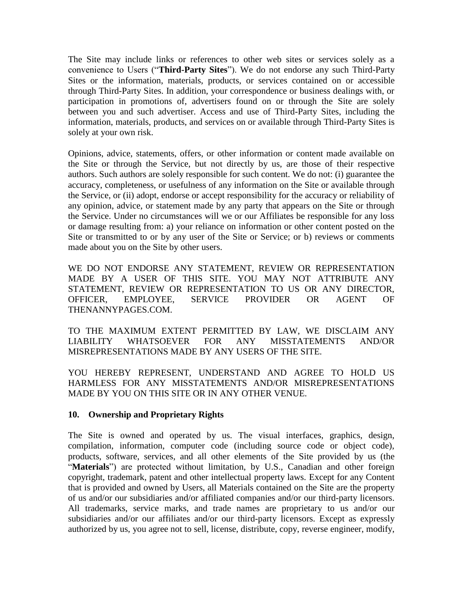The Site may include links or references to other web sites or services solely as a convenience to Users ("**Third-Party Sites**"). We do not endorse any such Third-Party Sites or the information, materials, products, or services contained on or accessible through Third-Party Sites. In addition, your correspondence or business dealings with, or participation in promotions of, advertisers found on or through the Site are solely between you and such advertiser. Access and use of Third-Party Sites, including the information, materials, products, and services on or available through Third-Party Sites is solely at your own risk.

Opinions, advice, statements, offers, or other information or content made available on the Site or through the Service, but not directly by us, are those of their respective authors. Such authors are solely responsible for such content. We do not: (i) guarantee the accuracy, completeness, or usefulness of any information on the Site or available through the Service, or (ii) adopt, endorse or accept responsibility for the accuracy or reliability of any opinion, advice, or statement made by any party that appears on the Site or through the Service. Under no circumstances will we or our Affiliates be responsible for any loss or damage resulting from: a) your reliance on information or other content posted on the Site or transmitted to or by any user of the Site or Service; or b) reviews or comments made about you on the Site by other users.

WE DO NOT ENDORSE ANY STATEMENT, REVIEW OR REPRESENTATION MADE BY A USER OF THIS SITE. YOU MAY NOT ATTRIBUTE ANY STATEMENT, REVIEW OR REPRESENTATION TO US OR ANY DIRECTOR, OFFICER, EMPLOYEE, SERVICE PROVIDER OR AGENT OF THENANNYPAGES.COM.

TO THE MAXIMUM EXTENT PERMITTED BY LAW, WE DISCLAIM ANY LIABILITY WHATSOEVER FOR ANY MISSTATEMENTS AND/OR MISREPRESENTATIONS MADE BY ANY USERS OF THE SITE.

YOU HEREBY REPRESENT, UNDERSTAND AND AGREE TO HOLD US HARMLESS FOR ANY MISSTATEMENTS AND/OR MISREPRESENTATIONS MADE BY YOU ON THIS SITE OR IN ANY OTHER VENUE.

### **10. Ownership and Proprietary Rights**

The Site is owned and operated by us. The visual interfaces, graphics, design, compilation, information, computer code (including source code or object code), products, software, services, and all other elements of the Site provided by us (the "Materials") are protected without limitation, by U.S., Canadian and other foreign copyright, trademark, patent and other intellectual property laws. Except for any Content that is provided and owned by Users, all Materials contained on the Site are the property of us and/or our subsidiaries and/or affiliated companies and/or our third-party licensors. All trademarks, service marks, and trade names are proprietary to us and/or our subsidiaries and/or our affiliates and/or our third-party licensors. Except as expressly authorized by us, you agree not to sell, license, distribute, copy, reverse engineer, modify,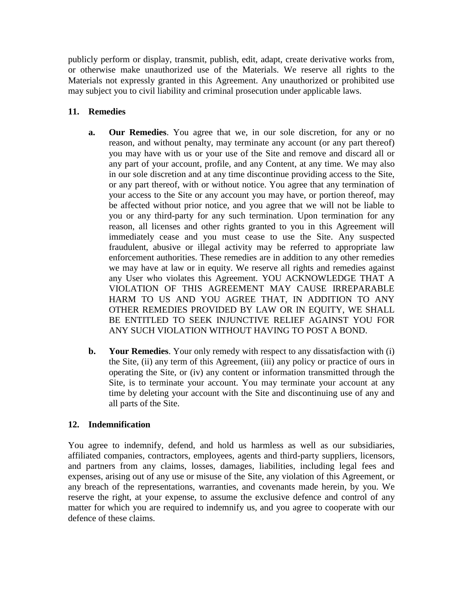publicly perform or display, transmit, publish, edit, adapt, create derivative works from, or otherwise make unauthorized use of the Materials. We reserve all rights to the Materials not expressly granted in this Agreement. Any unauthorized or prohibited use may subject you to civil liability and criminal prosecution under applicable laws.

## **11. Remedies**

- **a. Our Remedies**. You agree that we, in our sole discretion, for any or no reason, and without penalty, may terminate any account (or any part thereof) you may have with us or your use of the Site and remove and discard all or any part of your account, profile, and any Content, at any time. We may also in our sole discretion and at any time discontinue providing access to the Site, or any part thereof, with or without notice. You agree that any termination of your access to the Site or any account you may have, or portion thereof, may be affected without prior notice, and you agree that we will not be liable to you or any third-party for any such termination. Upon termination for any reason, all licenses and other rights granted to you in this Agreement will immediately cease and you must cease to use the Site. Any suspected fraudulent, abusive or illegal activity may be referred to appropriate law enforcement authorities. These remedies are in addition to any other remedies we may have at law or in equity. We reserve all rights and remedies against any User who violates this Agreement. YOU ACKNOWLEDGE THAT A VIOLATION OF THIS AGREEMENT MAY CAUSE IRREPARABLE HARM TO US AND YOU AGREE THAT, IN ADDITION TO ANY OTHER REMEDIES PROVIDED BY LAW OR IN EQUITY, WE SHALL BE ENTITLED TO SEEK INJUNCTIVE RELIEF AGAINST YOU FOR ANY SUCH VIOLATION WITHOUT HAVING TO POST A BOND.
- **b. Your Remedies**. Your only remedy with respect to any dissatisfaction with (i) the Site, (ii) any term of this Agreement, (iii) any policy or practice of ours in operating the Site, or (iv) any content or information transmitted through the Site, is to terminate your account. You may terminate your account at any time by deleting your account with the Site and discontinuing use of any and all parts of the Site.

### **12. Indemnification**

You agree to indemnify, defend, and hold us harmless as well as our subsidiaries, affiliated companies, contractors, employees, agents and third-party suppliers, licensors, and partners from any claims, losses, damages, liabilities, including legal fees and expenses, arising out of any use or misuse of the Site, any violation of this Agreement, or any breach of the representations, warranties, and covenants made herein, by you. We reserve the right, at your expense, to assume the exclusive defence and control of any matter for which you are required to indemnify us, and you agree to cooperate with our defence of these claims.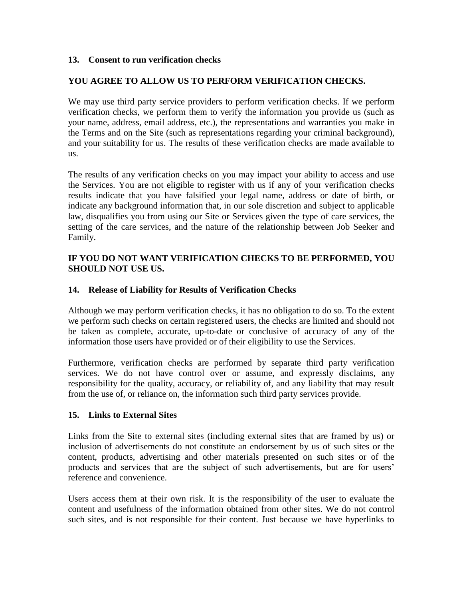#### **13. Consent to run verification checks**

#### **YOU AGREE TO ALLOW US TO PERFORM VERIFICATION CHECKS.**

We may use third party service providers to perform verification checks. If we perform verification checks, we perform them to verify the information you provide us (such as your name, address, email address, etc.), the representations and warranties you make in the Terms and on the Site (such as representations regarding your criminal background), and your suitability for us. The results of these verification checks are made available to us.

The results of any verification checks on you may impact your ability to access and use the Services. You are not eligible to register with us if any of your verification checks results indicate that you have falsified your legal name, address or date of birth, or indicate any background information that, in our sole discretion and subject to applicable law, disqualifies you from using our Site or Services given the type of care services, the setting of the care services, and the nature of the relationship between Job Seeker and Family.

#### **IF YOU DO NOT WANT VERIFICATION CHECKS TO BE PERFORMED, YOU SHOULD NOT USE US.**

#### **14. Release of Liability for Results of Verification Checks**

Although we may perform verification checks, it has no obligation to do so. To the extent we perform such checks on certain registered users, the checks are limited and should not be taken as complete, accurate, up-to-date or conclusive of accuracy of any of the information those users have provided or of their eligibility to use the Services.

Furthermore, verification checks are performed by separate third party verification services. We do not have control over or assume, and expressly disclaims, any responsibility for the quality, accuracy, or reliability of, and any liability that may result from the use of, or reliance on, the information such third party services provide.

#### **15. Links to External Sites**

Links from the Site to external sites (including external sites that are framed by us) or inclusion of advertisements do not constitute an endorsement by us of such sites or the content, products, advertising and other materials presented on such sites or of the products and services that are the subject of such advertisements, but are for users' reference and convenience.

Users access them at their own risk. It is the responsibility of the user to evaluate the content and usefulness of the information obtained from other sites. We do not control such sites, and is not responsible for their content. Just because we have hyperlinks to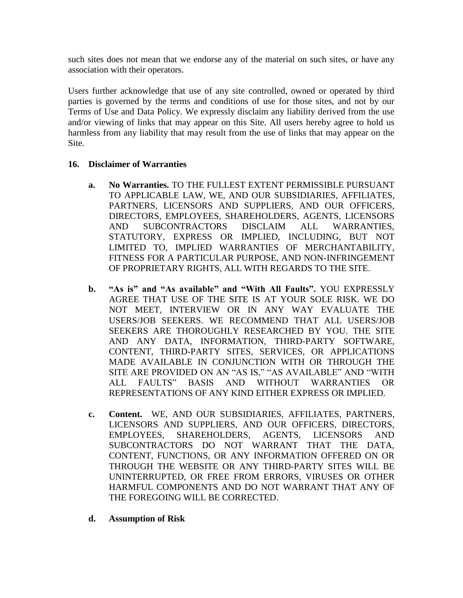such sites does not mean that we endorse any of the material on such sites, or have any association with their operators.

Users further acknowledge that use of any site controlled, owned or operated by third parties is governed by the terms and conditions of use for those sites, and not by our Terms of Use and Data Policy. We expressly disclaim any liability derived from the use and/or viewing of links that may appear on this Site. All users hereby agree to hold us harmless from any liability that may result from the use of links that may appear on the Site.

### **16. Disclaimer of Warranties**

- **a. No Warranties.** TO THE FULLEST EXTENT PERMISSIBLE PURSUANT TO APPLICABLE LAW, WE, AND OUR SUBSIDIARIES, AFFILIATES, PARTNERS, LICENSORS AND SUPPLIERS, AND OUR OFFICERS, DIRECTORS, EMPLOYEES, SHAREHOLDERS, AGENTS, LICENSORS AND SUBCONTRACTORS DISCLAIM ALL WARRANTIES, STATUTORY, EXPRESS OR IMPLIED, INCLUDING, BUT NOT LIMITED TO, IMPLIED WARRANTIES OF MERCHANTABILITY, FITNESS FOR A PARTICULAR PURPOSE, AND NON-INFRINGEMENT OF PROPRIETARY RIGHTS, ALL WITH REGARDS TO THE SITE.
- **b. "As is" and "As available" and "With All Faults".** YOU EXPRESSLY AGREE THAT USE OF THE SITE IS AT YOUR SOLE RISK. WE DO NOT MEET, INTERVIEW OR IN ANY WAY EVALUATE THE USERS/JOB SEEKERS. WE RECOMMEND THAT ALL USERS/JOB SEEKERS ARE THOROUGHLY RESEARCHED BY YOU. THE SITE AND ANY DATA, INFORMATION, THIRD-PARTY SOFTWARE, CONTENT, THIRD-PARTY SITES, SERVICES, OR APPLICATIONS MADE AVAILABLE IN CONJUNCTION WITH OR THROUGH THE SITE ARE PROVIDED ON AN "AS IS," "AS AVAILABLE" AND "WITH ALL FAULTS" BASIS AND WITHOUT WARRANTIES OR REPRESENTATIONS OF ANY KIND EITHER EXPRESS OR IMPLIED.
- **c. Content.** WE, AND OUR SUBSIDIARIES, AFFILIATES, PARTNERS, LICENSORS AND SUPPLIERS, AND OUR OFFICERS, DIRECTORS, EMPLOYEES, SHAREHOLDERS, AGENTS, LICENSORS AND SUBCONTRACTORS DO NOT WARRANT THAT THE DATA, CONTENT, FUNCTIONS, OR ANY INFORMATION OFFERED ON OR THROUGH THE WEBSITE OR ANY THIRD-PARTY SITES WILL BE UNINTERRUPTED, OR FREE FROM ERRORS, VIRUSES OR OTHER HARMFUL COMPONENTS AND DO NOT WARRANT THAT ANY OF THE FOREGOING WILL BE CORRECTED.
- **d. Assumption of Risk**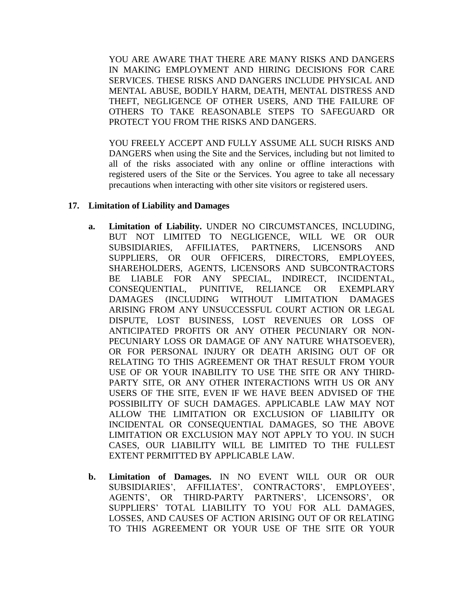YOU ARE AWARE THAT THERE ARE MANY RISKS AND DANGERS IN MAKING EMPLOYMENT AND HIRING DECISIONS FOR CARE SERVICES. THESE RISKS AND DANGERS INCLUDE PHYSICAL AND MENTAL ABUSE, BODILY HARM, DEATH, MENTAL DISTRESS AND THEFT, NEGLIGENCE OF OTHER USERS, AND THE FAILURE OF OTHERS TO TAKE REASONABLE STEPS TO SAFEGUARD OR PROTECT YOU FROM THE RISKS AND DANGERS.

YOU FREELY ACCEPT AND FULLY ASSUME ALL SUCH RISKS AND DANGERS when using the Site and the Services, including but not limited to all of the risks associated with any online or offline interactions with registered users of the Site or the Services. You agree to take all necessary precautions when interacting with other site visitors or registered users.

#### **17. Limitation of Liability and Damages**

- **a. Limitation of Liability.** UNDER NO CIRCUMSTANCES, INCLUDING, BUT NOT LIMITED TO NEGLIGENCE, WILL WE OR OUR SUBSIDIARIES, AFFILIATES, PARTNERS, LICENSORS AND SUPPLIERS, OR OUR OFFICERS, DIRECTORS, EMPLOYEES, SHAREHOLDERS, AGENTS, LICENSORS AND SUBCONTRACTORS BE LIABLE FOR ANY SPECIAL, INDIRECT, INCIDENTAL, CONSEQUENTIAL, PUNITIVE, RELIANCE OR EXEMPLARY DAMAGES (INCLUDING WITHOUT LIMITATION DAMAGES ARISING FROM ANY UNSUCCESSFUL COURT ACTION OR LEGAL DISPUTE, LOST BUSINESS, LOST REVENUES OR LOSS OF ANTICIPATED PROFITS OR ANY OTHER PECUNIARY OR NON-PECUNIARY LOSS OR DAMAGE OF ANY NATURE WHATSOEVER), OR FOR PERSONAL INJURY OR DEATH ARISING OUT OF OR RELATING TO THIS AGREEMENT OR THAT RESULT FROM YOUR USE OF OR YOUR INABILITY TO USE THE SITE OR ANY THIRD-PARTY SITE, OR ANY OTHER INTERACTIONS WITH US OR ANY USERS OF THE SITE, EVEN IF WE HAVE BEEN ADVISED OF THE POSSIBILITY OF SUCH DAMAGES. APPLICABLE LAW MAY NOT ALLOW THE LIMITATION OR EXCLUSION OF LIABILITY OR INCIDENTAL OR CONSEQUENTIAL DAMAGES, SO THE ABOVE LIMITATION OR EXCLUSION MAY NOT APPLY TO YOU. IN SUCH CASES, OUR LIABILITY WILL BE LIMITED TO THE FULLEST EXTENT PERMITTED BY APPLICABLE LAW.
- **b. Limitation of Damages.** IN NO EVENT WILL OUR OR OUR SUBSIDIARIES', AFFILIATES', CONTRACTORS', EMPLOYEES', AGENTS', OR THIRD-PARTY PARTNERS', LICENSORS', OR SUPPLIERS' TOTAL LIABILITY TO YOU FOR ALL DAMAGES, LOSSES, AND CAUSES OF ACTION ARISING OUT OF OR RELATING TO THIS AGREEMENT OR YOUR USE OF THE SITE OR YOUR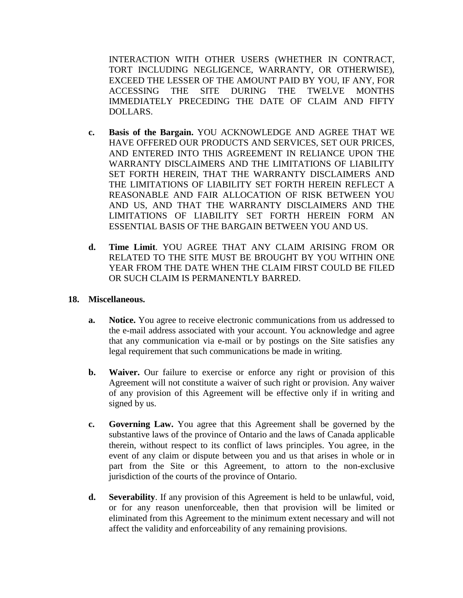INTERACTION WITH OTHER USERS (WHETHER IN CONTRACT, TORT INCLUDING NEGLIGENCE, WARRANTY, OR OTHERWISE), EXCEED THE LESSER OF THE AMOUNT PAID BY YOU, IF ANY, FOR ACCESSING THE SITE DURING THE TWELVE MONTHS IMMEDIATELY PRECEDING THE DATE OF CLAIM AND FIFTY DOLLARS.

- **c. Basis of the Bargain.** YOU ACKNOWLEDGE AND AGREE THAT WE HAVE OFFERED OUR PRODUCTS AND SERVICES, SET OUR PRICES, AND ENTERED INTO THIS AGREEMENT IN RELIANCE UPON THE WARRANTY DISCLAIMERS AND THE LIMITATIONS OF LIABILITY SET FORTH HEREIN, THAT THE WARRANTY DISCLAIMERS AND THE LIMITATIONS OF LIABILITY SET FORTH HEREIN REFLECT A REASONABLE AND FAIR ALLOCATION OF RISK BETWEEN YOU AND US, AND THAT THE WARRANTY DISCLAIMERS AND THE LIMITATIONS OF LIABILITY SET FORTH HEREIN FORM AN ESSENTIAL BASIS OF THE BARGAIN BETWEEN YOU AND US.
- **d. Time Limit**. YOU AGREE THAT ANY CLAIM ARISING FROM OR RELATED TO THE SITE MUST BE BROUGHT BY YOU WITHIN ONE YEAR FROM THE DATE WHEN THE CLAIM FIRST COULD BE FILED OR SUCH CLAIM IS PERMANENTLY BARRED.

#### **18. Miscellaneous.**

- **a. Notice.** You agree to receive electronic communications from us addressed to the e-mail address associated with your account. You acknowledge and agree that any communication via e-mail or by postings on the Site satisfies any legal requirement that such communications be made in writing.
- **b. Waiver.** Our failure to exercise or enforce any right or provision of this Agreement will not constitute a waiver of such right or provision. Any waiver of any provision of this Agreement will be effective only if in writing and signed by us.
- **c. Governing Law.** You agree that this Agreement shall be governed by the substantive laws of the province of Ontario and the laws of Canada applicable therein, without respect to its conflict of laws principles. You agree, in the event of any claim or dispute between you and us that arises in whole or in part from the Site or this Agreement, to attorn to the non-exclusive jurisdiction of the courts of the province of Ontario.
- **d. Severability**. If any provision of this Agreement is held to be unlawful, void, or for any reason unenforceable, then that provision will be limited or eliminated from this Agreement to the minimum extent necessary and will not affect the validity and enforceability of any remaining provisions.